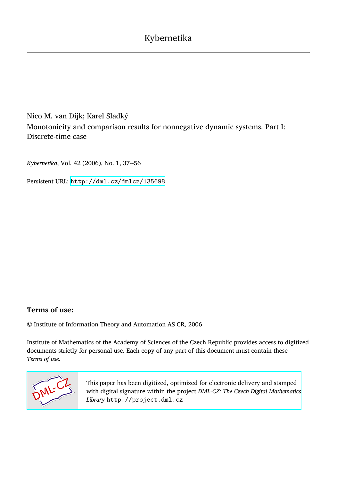Nico M. van Dijk; Karel Sladký Monotonicity and comparison results for nonnegative dynamic systems. Part I: Discrete-time case

*Kybernetika*, Vol. 42 (2006), No. 1, 37--56

Persistent URL: <http://dml.cz/dmlcz/135698>

# **Terms of use:**

© Institute of Information Theory and Automation AS CR, 2006

Institute of Mathematics of the Academy of Sciences of the Czech Republic provides access to digitized documents strictly for personal use. Each copy of any part of this document must contain these *Terms of use*.



[This paper has been digitized, optimized for electronic delivery and stamped](http://project.dml.cz) with digital signature within the project *DML-CZ: The Czech Digital Mathematics Library* http://project.dml.cz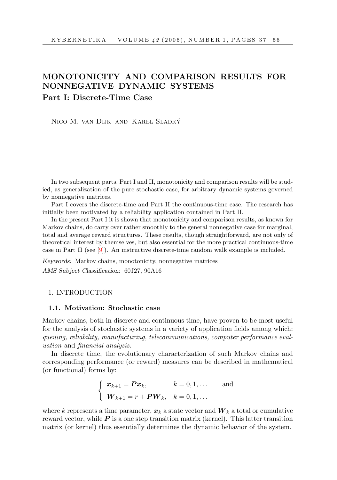# MONOTONICITY AND COMPARISON RESULTS FOR NONNEGATIVE DYNAMIC SYSTEMS Part I: Discrete-Time Case

Nico M. van Dijk and Karel Sladky´

In two subsequent parts, Part I and II, monotonicity and comparison results will be studied, as generalization of the pure stochastic case, for arbitrary dynamic systems governed by nonnegative matrices.

Part I covers the discrete-time and Part II the continuous-time case. The research has initially been motivated by a reliability application contained in Part II.

In the present Part I it is shown that monotonicity and comparison results, as known for Markov chains, do carry over rather smoothly to the general nonnegative case for marginal, total and average reward structures. These results, though straightforward, are not only of theoretical interest by themselves, but also essential for the more practical continuous-time case in Part II (see [9]). An instructive discrete-time random walk example is included.

Keywords: Markov chains, monotonicity, nonnegative matrices AMS Subject Classification: 60J27, 90A16

#### 1. INTRODUCTION

#### 1.1. Motivation: Stochastic case

Markov chains, both in discrete and continuous time, have proven to be most useful for the analysis of stochastic systems in a variety of application fields among which: queuing, reliability, manufacturing, telecommunications, computer performance evaluation and financial analysis.

In discrete time, the evolutionary characterization of such Markov chains and corresponding performance (or reward) measures can be described in mathematical (or functional) forms by:

$$
\begin{cases} \boldsymbol{x}_{k+1} = \boldsymbol{P}\boldsymbol{x}_k, & k = 0, 1, \dots \text{ and} \\ \boldsymbol{W}_{k+1} = r + \boldsymbol{P}\boldsymbol{W}_k, & k = 0, 1, \dots \end{cases}
$$

where k represents a time parameter,  $x_k$  a state vector and  $\boldsymbol{W}_k$  a total or cumulative reward vector, while  $P$  is a one step transition matrix (kernel). This latter transition matrix (or kernel) thus essentially determines the dynamic behavior of the system.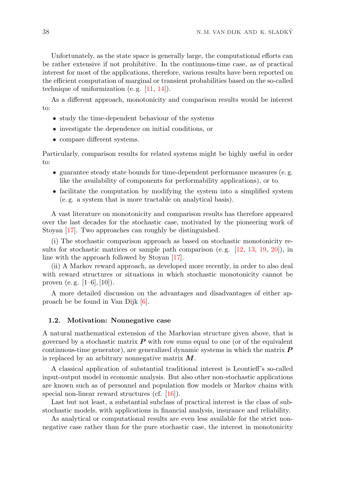Unfortunately, as the state space is generally large, the computational efforts can be rather extensive if not prohibitive. In the continuous-time case, as of practical interest for most of the applications, therefore, various results have been reported on the efficient computation of marginal or transient probabilities based on the so-called technique of uniformization (e.g.  $[11, 14]$ ).

As a different approach, monotonicity and comparison results would be interest to:

- study the time-dependent behaviour of the systems
- investigate the dependence on initial conditions, or
- compare different systems.

Particularly, comparison results for related systems might be highly useful in order to:

- guarantee steady state bounds for time-dependent performance measures (e. g. like the availability of components for performability applications), or to
- facilitate the computation by modifying the system into a simplified system (e. g. a system that is more tractable on analytical basis).

A vast literature on monotonicity and comparison results has therefore appeared over the last decades for the stochastic case, motivated by the pioneering work of Stoyan [17]. Two approaches can roughly be distinguished.

(i) The stochastic comparison approach as based on stochastic monotonicity results for stochastic matrices or sample path comparison (e.g.  $[12, 13, 19, 20]$ ), in line with the approach followed by Stoyan [17].

(ii) A Markov reward approach, as developed more recently, in order to also deal with reward structures or situations in which stochastic monotonicity cannot be proven (e.g.  $[1-6]$ ,  $[10]$ ).

A more detailed discussion on the advantages and disadvantages of either approach be be found in Van Dijk [6].

## 1.2. Motivation: Nonnegative case

A natural mathematical extension of the Markovian structure given above, that is governed by a stochastic matrix  $P$  with row sums equal to one (or of the equivalent continuous-time generator), are generalized dynamic systems in which the matrix  $\boldsymbol{P}$ is replaced by an arbitrary nonnegative matrix  $M$ .

A classical application of substantial traditional interest is Leontieff's so-called input-output model in economic analysis. But also other non-stochastic applications are known such as of personnel and population flow models or Markov chains with special non-linear reward structures (cf. [16]).

Last but not least, a substantial subclass of practical interest is the class of substochastic models, with applications in financial analysis, insurance and reliability.

As analytical or computational results are even less available for the strict nonnegative case rather than for the pure stochastic case, the interest in monotonicity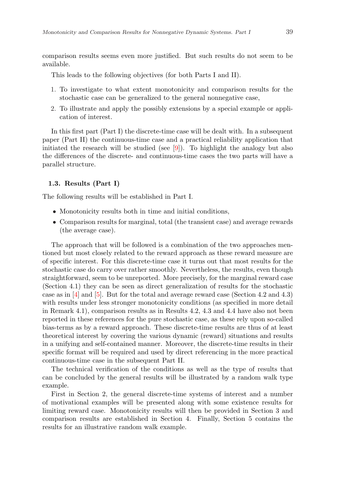comparison results seems even more justified. But such results do not seem to be available.

This leads to the following objectives (for both Parts I and II).

- 1. To investigate to what extent monotonicity and comparison results for the stochastic case can be generalized to the general nonnegative case,
- 2. To illustrate and apply the possibly extensions by a special example or application of interest.

In this first part (Part I) the discrete-time case will be dealt with. In a subsequent paper (Part II) the continuous-time case and a practical reliability application that initiated the research will be studied (see [9]). To highlight the analogy but also the differences of the discrete- and continuous-time cases the two parts will have a parallel structure.

#### 1.3. Results (Part I)

The following results will be established in Part I.

- Monotonicity results both in time and initial conditions,
- Comparison results for marginal, total (the transient case) and average rewards (the average case).

The approach that will be followed is a combination of the two approaches mentioned but most closely related to the reward approach as these reward measure are of specific interest. For this discrete-time case it turns out that most results for the stochastic case do carry over rather smoothly. Nevertheless, the results, even though straightforward, seem to be unreported. More precisely, for the marginal reward case (Section 4.1) they can be seen as direct generalization of results for the stochastic case as in  $[4]$  and  $[5]$ . But for the total and average reward case (Section 4.2 and 4.3) with results under less stronger monotonicity conditions (as specified in more detail in Remark 4.1), comparison results as in Results 4.2, 4.3 and 4.4 have also not been reported in these references for the pure stochastic case, as these rely upon so-called bias-terms as by a reward approach. These discrete-time results are thus of at least theoretical interest by covering the various dynamic (reward) situations and results in a unifying and self-contained manner. Moreover, the discrete-time results in their specific format will be required and used by direct referencing in the more practical continuous-time case in the subsequent Part II.

The technical verification of the conditions as well as the type of results that can be concluded by the general results will be illustrated by a random walk type example.

First in Section 2, the general discrete-time systems of interest and a number of motivational examples will be presented along with some existence results for limiting reward case. Monotonicity results will then be provided in Section 3 and comparison results are established in Section 4. Finally, Section 5 contains the results for an illustrative random walk example.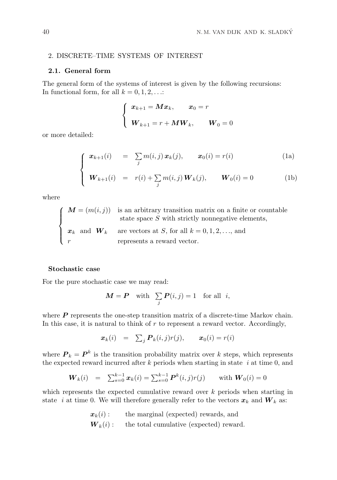# 2. DISCRETE–TIME SYSTEMS OF INTEREST

## 2.1. General form

The general form of the systems of interest is given by the following recursions: In functional form, for all  $k = 0, 1, 2, \ldots$ :

$$
\begin{cases} x_{k+1} = Mx_k, & x_0 = r \\\\ W_{k+1} = r + MW_k, & W_0 = 0 \end{cases}
$$

or more detailed:

$$
\int \mathbf{x}_{k+1}(i) = \sum_j m(i,j) \mathbf{x}_k(j), \qquad \mathbf{x}_0(i) = r(i) \tag{1a}
$$

$$
\begin{cases} \mathbf{W}_{k+1}(i) = r(i) + \sum_{j} m(i,j) \mathbf{W}_k(j), \qquad \mathbf{W}_0(i) = 0 \end{cases}
$$
 (1b)

where

$$
\left\{\begin{array}{ll} \pmb{M}=(m(i,j))& \text{is an arbitrary transition matrix on a finite or countable} \\ & \text{state space }S \text{ with strictly nonnegative elements}, \\\pmb{x}_k \quad \text{and} \quad \pmb{W}_k & \text{are vectors at }S, \text{ for all } k=0,1,2,\ldots, \text{and} \\ \mbox{$r$} & \text{represents a reward vector}. \end{array}\right.
$$

#### Stochastic case

For the pure stochastic case we may read:

$$
M = P \quad \text{with} \quad \sum_j P(i,j) = 1 \quad \text{for all} \quad i,
$$

where  $P$  represents the one-step transition matrix of a discrete-time Markov chain. In this case, it is natural to think of  $r$  to represent a reward vector. Accordingly,

$$
\boldsymbol{x}_k(i) = \sum_j \boldsymbol{P}_k(i,j)r(j), \qquad \boldsymbol{x}_0(i) = r(i)
$$

where  $P_k = P^k$  is the transition probability matrix over k steps, which represents the expected reward incurred after  $k$  periods when starting in state  $i$  at time 0, and

$$
\boldsymbol{W}_k(i) = \sum_{s=0}^{k-1} \boldsymbol{x}_k(i) = \sum_{s=0}^{k-1} \boldsymbol{P}^k(i,j) r(j) \text{ with } \boldsymbol{W}_0(i) = 0
$$

which represents the expected cumulative reward over  $k$  periods when starting in state *i* at time 0. We will therefore generally refer to the vectors  $x_k$  and  $W_k$  as:

> $x_k(i)$ : the marginal (expected) rewards, and  $W_k(i)$ : the total cumulative (expected) reward.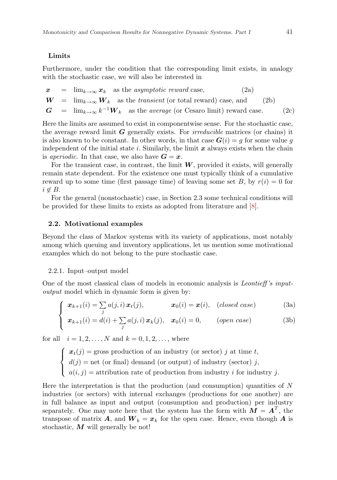# Limits

Furthermore, under the condition that the corresponding limit exists, in analogy with the stochastic case, we will also be interested in

$$
\begin{array}{rcl}\n\boldsymbol{x} & = & \lim_{k \to \infty} \boldsymbol{x}_k \quad \text{as the asymptotic reward case,} \\
\boldsymbol{W} & = & \lim_{k \to \infty} \boldsymbol{W}_k \quad \text{as the transient (or total reward) case, and} \\
\boldsymbol{G} & = & \lim_{k \to \infty} k^{-1} \boldsymbol{W}_k \quad \text{as the average (or Cesaro limit) reward case.}\n\end{array} \tag{2c}
$$

Here the limits are assumed to exist in componentwise sense. For the stochastic case, the average reward limit  $G$  generally exists. For *irreducible* matrices (or chains) it is also known to be constant. In other words, in that case  $G(i) = q$  for some value q independent of the initial state i. Similarly, the limit  $x$  always exists when the chain is aperiodic. In that case, we also have  $G = x$ .

For the transient case, in contrast, the limit  $W$ , provided it exists, will generally remain state dependent. For the existence one must typically think of a cumulative reward up to some time (first passage time) of leaving some set B, by  $r(i) = 0$  for  $i \notin B$ .

For the general (nonstochastic) case, in Section 2.3 some technical conditions will be provided for these limits to exists as adopted from literature and [8].

#### 2.2. Motivational examples

Beyond the class of Markov systems with its variety of applications, most notably among which queuing and inventory applications, let us mention some motivational examples which do not belong to the pure stochastic case.

#### 2.2.1. Input–output model

One of the most classical class of models in economic analysis is Leontieff 's inputoutput model which in dynamic form is given by:

$$
\int \boldsymbol{x}_{k+1}(i) = \sum_{j} a(j,i) \boldsymbol{x}_t(j), \qquad \boldsymbol{x}_0(i) = \boldsymbol{x}(i), \quad (closed \; case) \tag{3a}
$$

$$
\begin{cases}\n\boldsymbol{x}_{k+1}(i) = d(i) + \sum_{j} a(j,i) \, \boldsymbol{x}_k(j), & \boldsymbol{x}_0(i) = 0, \quad (open \; case)\n\end{cases} \tag{3b}
$$

for all  $i = 1, 2, ..., N$  and  $k = 0, 1, 2, ...,$  where

 $\sqrt{ }$  $\int$  $\mathbf{I}$  $x_t(j)$  = gross production of an industry (or sector) j at time t,  $d(j) = \text{net}$  (or final) demand (or output) of industry (sector) j,  $a(i, j)$  = attribution rate of production from industry i for industry j.

Here the interpretation is that the production (and consumption) quantities of  $N$ industries (or sectors) with internal exchanges (productions for one another) are in full balance as input and output (consumption and production) per industry separately. One may note here that the system has the form with  $M = A<sup>T</sup>$ , the transpose of matrix **A**, and  $W_k = x_k$  for the open case. Hence, even though **A** is stochastic,  $M$  will generally be not!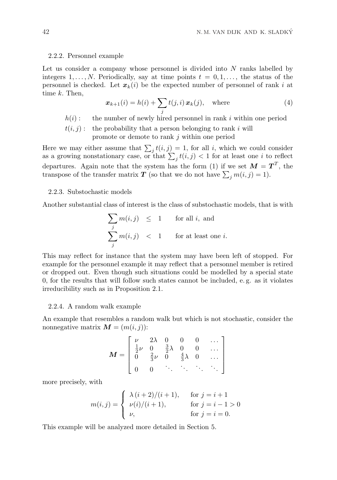#### 2.2.2. Personnel example

Let us consider a company whose personnel is divided into N ranks labelled by integers  $1, \ldots, N$ . Periodically, say at time points  $t = 0, 1, \ldots$ , the status of the personnel is checked. Let  $x_k(i)$  be the expected number of personnel of rank i at time k. Then,

$$
\boldsymbol{x}_{k+1}(i) = h(i) + \sum_{j} t(j,i) \, \boldsymbol{x}_{k}(j), \quad \text{where}
$$
 (4)

 $h(i)$ : the number of newly hired personnel in rank i within one period

$$
t(i, j):
$$
 the probability that a person belonging to rank *i* will  
promote or demote to rank *j* within one period

Here we may either assume that  $\sum_j t(i, j) = 1$ , for all i, which we could consider as a growing nonstationary case, or that  $\sum_j t(i,j) < 1$  for at least one i to reflect departures. Again note that the system has the form (1) if we set  $M = T<sup>T</sup>$ , the transpose of the transfer matrix  $T$  (so that we do not have  $\sum_j m(i, j) = 1$ ).

## 2.2.3. Substochastic models

Another substantial class of interest is the class of substochastic models, that is with

$$
\sum_{j} m(i,j) \leq 1 \quad \text{for all } i, \text{ and}
$$
\n
$$
\sum_{j} m(i,j) < 1 \quad \text{for at least one } i.
$$

This may reflect for instance that the system may have been left of stopped. For example for the personnel example it may reflect that a personnel member is retired or dropped out. Even though such situations could be modelled by a special state 0, for the results that will follow such states cannot be included, e. g. as it violates irreducibility such as in Proposition 2.1.

#### 2.2.4. A random walk example

An example that resembles a random walk but which is not stochastic, consider the nonnegative matrix  $\mathbf{M} = (m(i, j))$ :

$$
\mathbf{M} = \left[ \begin{array}{cccccc} \nu & 2\lambda & 0 & 0 & 0 & \dots \\ \frac{1}{2}\nu & 0 & \frac{3}{2}\lambda & 0 & 0 & \dots \\ 0 & \frac{2}{3}\nu & 0 & \frac{4}{3}\lambda & 0 & \dots \\ 0 & 0 & \dots & \dots & \dots \end{array} \right]
$$

more precisely, with

$$
m(i,j) = \begin{cases} \lambda (i+2)/(i+1), & \text{for } j = i+1 \\ \nu(i)/(i+1), & \text{for } j = i-1 > 0 \\ \nu, & \text{for } j = i = 0. \end{cases}
$$

This example will be analyzed more detailed in Section 5.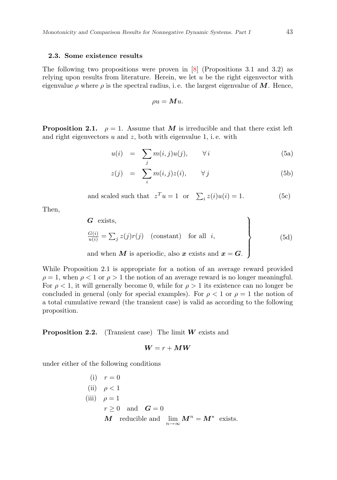#### 2.3. Some existence results

The following two propositions were proven in [8] (Propositions 3.1 and 3.2) as relying upon results from literature. Herein, we let  $u$  be the right eigenvector with eigenvalue  $\rho$  where  $\rho$  is the spectral radius, i.e. the largest eigenvalue of M. Hence,

$$
\rho u = \boldsymbol{M} u.
$$

**Proposition 2.1.**  $\rho = 1$ . Assume that M is irreducible and that there exist left and right eigenvectors  $u$  and  $z$ , both with eigenvalue 1, i.e. with

$$
u(i) = \sum_{j} m(i,j)u(j), \qquad \forall i
$$
 (5a)

$$
z(j) = \sum_{i} m(i,j)z(i), \qquad \forall j \tag{5b}
$$

and scaled such that 
$$
z^T u = 1
$$
 or  $\sum_i z(i)u(i) = 1$ . (5c)

Then,

**G** exists,  
\n
$$
\frac{G(i)}{u(i)} = \sum_{j} z(j)r(j) \text{ (constant) for all } i,
$$
\nand when **M** is aperiodic, also **x** exists and **x** = **G**. (5d)

While Proposition 2.1 is appropriate for a notion of an average reward provided  $\rho = 1$ , when  $\rho < 1$  or  $\rho > 1$  the notion of an average reward is no longer meaningful. For  $\rho < 1$ , it will generally become 0, while for  $\rho > 1$  its existence can no longer be concluded in general (only for special examples). For  $\rho < 1$  or  $\rho = 1$  the notion of a total cumulative reward (the transient case) is valid as according to the following proposition.

**Proposition 2.2.** (Transient case) The limit  $W$  exists and

$$
\bm{W}=r+\bm{M}\bm{W}
$$

under either of the following conditions

(i) 
$$
r = 0
$$
  
\n(ii)  $\rho < 1$   
\n(iii)  $\rho = 1$   
\n $r \ge 0$  and  $G = 0$   
\nM reducible and  $\lim_{n \to \infty} M^n = M^*$  exists.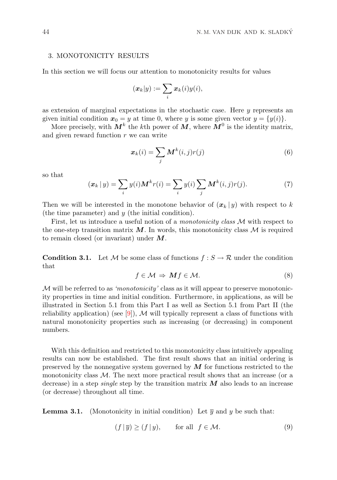#### 3. MONOTONICITY RESULTS

In this section we will focus our attention to monotonicity results for values

$$
(\boldsymbol{x}_k|y):=\sum_i \boldsymbol{x}_k(i)y(i),
$$

as extension of marginal expectations in the stochastic case. Here  $y$  represents an given initial condition  $x_0 = y$  at time 0, where y is some given vector  $y = \{y(i)\}.$ 

More precisely, with  $M^k$  the kth power of  $M$ , where  $M^0$  is the identity matrix, and given reward function  $r$  we can write

$$
\boldsymbol{x}_{k}(i) = \sum_{j} \boldsymbol{M}^{k}(i,j)r(j) \tag{6}
$$

so that

$$
(\mathbf{x}_k | y) = \sum_i y(i) \mathbf{M}^k r(i) = \sum_i y(i) \sum_j \mathbf{M}^k(i, j) r(j).
$$
 (7)

Then we will be interested in the monotone behavior of  $(x_k | y)$  with respect to k (the time parameter) and  $y$  (the initial condition).

First, let us introduce a useful notion of a *monotonicity class* M with respect to the one-step transition matrix  $M$ . In words, this monotonicity class  $M$  is required to remain closed (or invariant) under M.

**Condition 3.1.** Let M be some class of functions  $f : S \to \mathcal{R}$  under the condition that

$$
f \in \mathcal{M} \Rightarrow Mf \in \mathcal{M}.
$$
 (8)

 $\mathcal M$  will be referred to as *'monotonicity'* class as it will appear to preserve monotonicity properties in time and initial condition. Furthermore, in applications, as will be illustrated in Section 5.1 from this Part I as well as Section 5.1 from Part II (the reliability application) (see [9]), M will typically represent a class of functions with natural monotonicity properties such as increasing (or decreasing) in component numbers.

With this definition and restricted to this monotonicity class intuitively appealing results can now be established. The first result shows that an initial ordering is preserved by the nonnegative system governed by  $\boldsymbol{M}$  for functions restricted to the monotonicity class  $M$ . The next more practical result shows that an increase (or a decrease) in a step *single* step by the transition matrix  $M$  also leads to an increase (or decrease) throughout all time.

**Lemma 3.1.** (Monotonicity in initial condition) Let  $\overline{y}$  and y be such that:

$$
(f | \overline{y}) \ge (f | y), \qquad \text{for all} \ \ f \in \mathcal{M}.
$$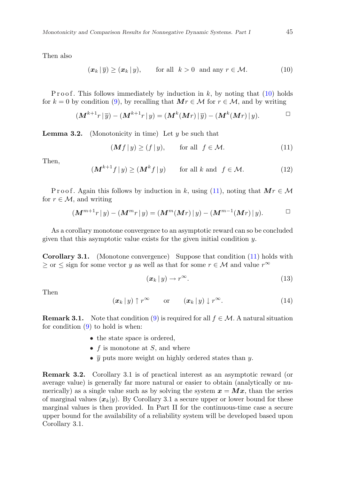Then also

$$
(\boldsymbol{x}_k \,|\, \overline{y}) \ge (\boldsymbol{x}_k \,|\, y), \qquad \text{for all} \ \ k > 0 \ \text{ and any } r \in \mathcal{M}.\tag{10}
$$

Proof. This follows immediately by induction in  $k$ , by noting that (10) holds for  $k = 0$  by condition (9), by recalling that  $Mr \in \mathcal{M}$  for  $r \in \mathcal{M}$ , and by writing

$$
(\mathbf{M}^{k+1}r\,|\,\overline{y})-(\mathbf{M}^{k+1}r\,|\,y)=(\mathbf{M}^k(\mathbf{M}r)\,|\,\overline{y})-(\mathbf{M}^k(\mathbf{M}r)\,|\,y).
$$

**Lemma 3.2.** (Monotonicity in time) Let  $y$  be such that

$$
(\mathbf{M}f \,|\, y) \ge (f \,|\, y), \qquad \text{for all} \ \ f \in \mathcal{M}.\tag{11}
$$

Then,

$$
(\mathbf{M}^{k+1}f|y) \ge (\mathbf{M}^k f|y) \qquad \text{for all } k \text{ and } f \in \mathcal{M}.
$$
 (12)

P r o of . Again this follows by induction in k, using (11), noting that  $Mr \in \mathcal{M}$ for  $r \in \mathcal{M}$ , and writing

$$
(\mathbf{M}^{m+1}r|y) - (\mathbf{M}^{m}r|y) = (\mathbf{M}^{m}(\mathbf{M}r)|y) - (\mathbf{M}^{m-1}(\mathbf{M}r)|y).
$$

As a corollary monotone convergence to an asymptotic reward can so be concluded given that this asymptotic value exists for the given initial condition  $y$ .

Corollary 3.1. (Monotone convergence) Suppose that condition (11) holds with  $\geq$  or  $\leq$  sign for some vector y as well as that for some  $r \in M$  and value  $r^{\infty}$ 

$$
(\boldsymbol{x}_k \,|\, y) \to r^{\infty}.\tag{13}
$$

Then

$$
(\boldsymbol{x}_k \,|\, y) \uparrow r^{\infty} \qquad \text{or} \qquad (\boldsymbol{x}_k \,|\, y) \downarrow r^{\infty}.\tag{14}
$$

**Remark 3.1.** Note that condition (9) is required for all  $f \in \mathcal{M}$ . A natural situation for condition  $(9)$  to hold is when:

- the state space is ordered,
- $f$  is monotone at  $S$ , and where
- $\overline{y}$  puts more weight on highly ordered states than y.

Remark 3.2. Corollary 3.1 is of practical interest as an asymptotic reward (or average value) is generally far more natural or easier to obtain (analytically or numerically) as a single value such as by solving the system  $x = Mx$ , than the series of marginal values  $(x_k|y)$ . By Corollary 3.1 a secure upper or lower bound for these marginal values is then provided. In Part II for the continuous-time case a secure upper bound for the availability of a reliability system will be developed based upon Corollary 3.1.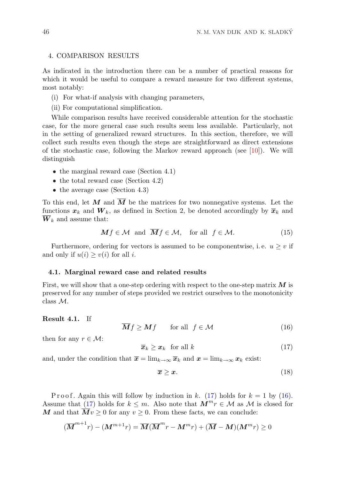#### 4. COMPARISON RESULTS

As indicated in the introduction there can be a number of practical reasons for which it would be useful to compare a reward measure for two different systems, most notably:

- (i) For what-if analysis with changing parameters,
- (ii) For computational simplification.

While comparison results have received considerable attention for the stochastic case, for the more general case such results seem less available. Particularly, not in the setting of generalized reward structures. In this section, therefore, we will collect such results even though the steps are straightforward as direct extensions of the stochastic case, following the Markov reward approach (see [10]). We will distinguish

- the marginal reward case (Section 4.1)
- the total reward case (Section 4.2)
- the average case (Section 4.3)

To this end, let M and  $\overline{M}$  be the matrices for two nonnegative systems. Let the functions  $x_k$  and  $W_k$ , as defined in Section 2, be denoted accordingly by  $\overline{x}_k$  and  $W_k$  and assume that:

$$
Mf \in \mathcal{M} \text{ and } \overline{M}f \in \mathcal{M}, \text{ for all } f \in \mathcal{M}. \tag{15}
$$

Furthermore, ordering for vectors is assumed to be componentwise, i.e.  $u \geq v$  if and only if  $u(i) \geq v(i)$  for all *i*.

#### 4.1. Marginal reward case and related results

First, we will show that a one-step ordering with respect to the one-step matrix  $\boldsymbol{M}$  is preserved for any number of steps provided we restrict ourselves to the monotonicity class M.

# Result 4.1. If

 $\overline{M}f \geq Mf$  for all  $f \in \mathcal{M}$  (16)

then for any  $r \in \mathcal{M}$ :

$$
\overline{x}_k \ge x_k \quad \text{for all } k \tag{17}
$$

and, under the condition that  $\bar{x} = \lim_{k \to \infty} \bar{x}_k$  and  $x = \lim_{k \to \infty} x_k$  exist:

$$
\overline{x} \geq x. \tag{18}
$$

P r o o f. Again this will follow by induction in k. (17) holds for  $k = 1$  by (16). Assume that (17) holds for  $k \leq m$ . Also note that  $M^m r \in \mathcal{M}$  as  $\mathcal{M}$  is closed for M and that  $Mv \geq 0$  for any  $v \geq 0$ . From these facts, we can conclude:

$$
(\overline{\boldsymbol{M}}^{m+1}r) - (\boldsymbol{M}^{m+1}r) = \overline{\boldsymbol{M}}(\overline{\boldsymbol{M}}^m r - \boldsymbol{M}^m r) + (\overline{\boldsymbol{M}} - \boldsymbol{M})(\boldsymbol{M}^m r) \ge 0
$$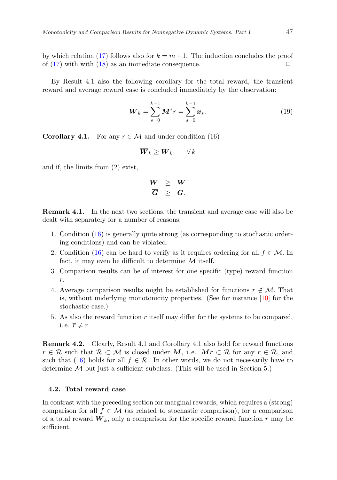by which relation (17) follows also for  $k = m + 1$ . The induction concludes the proof of (17) with with (18) as an immediate consequence.  $\Box$ 

By Result 4.1 also the following corollary for the total reward, the transient reward and average reward case is concluded immediately by the observation:

$$
W_k = \sum_{s=0}^{k-1} M^s r = \sum_{s=0}^{k-1} x_s.
$$
 (19)

**Corollary 4.1.** For any  $r \in \mathcal{M}$  and under condition (16)

$$
\overline{\bm{W}}_k \geq \bm{W}_k \qquad \forall \, k
$$

and if, the limits from (2) exist,

$$
\begin{array}{rcl}\n\overline{W} & \geq & W \\
\overline{G} & \geq & G.\n\end{array}
$$

Remark 4.1. In the next two sections, the transient and average case will also be dealt with separately for a number of reasons:

- 1. Condition (16) is generally quite strong (as corresponding to stochastic ordering conditions) and can be violated.
- 2. Condition (16) can be hard to verify as it requires ordering for all  $f \in \mathcal{M}$ . In fact, it may even be difficult to determine  $\mathcal M$  itself.
- 3. Comparison results can be of interest for one specific (type) reward function r.
- 4. Average comparison results might be established for functions  $r \notin \mathcal{M}$ . That is, without underlying monotonicity properties. (See for instance [10] for the stochastic case.)
- 5. As also the reward function  $r$  itself may differ for the systems to be compared, i. e.  $\overline{r} \neq r$ .

Remark 4.2. Clearly, Result 4.1 and Corollary 4.1 also hold for reward functions  $r \in \mathcal{R}$  such that  $\mathcal{R} \subset \mathcal{M}$  is closed under M, i.e.  $Mr \subset \mathcal{R}$  for any  $r \in \mathcal{R}$ , and such that (16) holds for all  $f \in \mathcal{R}$ . In other words, we do not necessarily have to determine  $M$  but just a sufficient subclass. (This will be used in Section 5.)

## 4.2. Total reward case

In contrast with the preceding section for marginal rewards, which requires a (strong) comparison for all  $f \in \mathcal{M}$  (as related to stochastic comparison), for a comparison of a total reward  $W_k$ , only a comparison for the specific reward function r may be sufficient.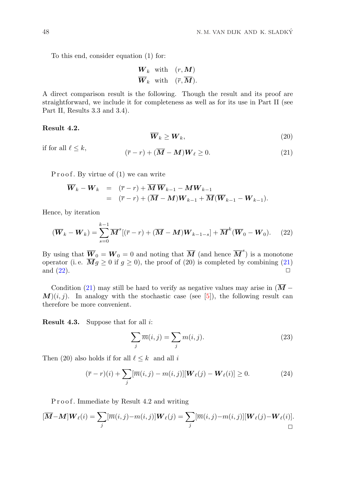To this end, consider equation (1) for:

$$
\frac{\boldsymbol{W}_k \quad \text{with} \quad (r, \boldsymbol{M})}{\boldsymbol{W}_k \quad \text{with} \quad (\overline{r}, \overline{\boldsymbol{M}}).
$$

A direct comparison result is the following. Though the result and its proof are straightforward, we include it for completeness as well as for its use in Part II (see Part II, Results 3.3 and 3.4).

## Result 4.2.

$$
\overline{\boldsymbol{W}}_k \ge \boldsymbol{W}_k,\tag{20}
$$

if for all  $\ell \leq k$ ,

$$
(\overline{r} - r) + (\overline{M} - M)W_{\ell} \ge 0.
$$
 (21)

Proof. By virtue of  $(1)$  we can write

$$
\overline{W}_k - W_k = (\overline{r} - r) + \overline{M} \, \overline{W}_{k-1} - MW_{k-1} \n= (\overline{r} - r) + (\overline{M} - M) W_{k-1} + \overline{M} (\overline{W}_{k-1} - W_{k-1}).
$$

Hence, by iteration

$$
(\overline{\boldsymbol{W}}_k - \boldsymbol{W}_k) = \sum_{s=0}^{k-1} \overline{\boldsymbol{M}}^s [(\overline{r} - r) + (\overline{\boldsymbol{M}} - \boldsymbol{M}) \boldsymbol{W}_{k-1-s}] + \overline{\boldsymbol{M}}^k (\overline{\boldsymbol{W}}_0 - \boldsymbol{W}_0). \tag{22}
$$

By using that  $\overline{W}_0 = W_0 = 0$  and noting that  $\overline{M}$  (and hence  $\overline{M}^s$ ) is a monotone operator (i. e.  $\overline{M}g \ge 0$  if  $g \ge 0$ ), the proof of (20) is completed by combining (21) and (22). and  $(22)$ .

Condition (21) may still be hard to verify as negative values may arise in  $(\overline{M} M(i, j)$ . In analogy with the stochastic case (see [5]), the following result can therefore be more convenient.

**Result 4.3.** Suppose that for all  $i$ :

$$
\sum_{j} \overline{m}(i,j) = \sum_{j} m(i,j). \tag{23}
$$

Then (20) also holds if for all  $\ell \leq k$  and all i

$$
(\overline{r} - r)(i) + \sum_{j} [\overline{m}(i, j) - m(i, j)][\mathbf{W}_{\ell}(j) - \mathbf{W}_{\ell}(i)] \ge 0.
$$
 (24)

Proof. Immediate by Result 4.2 and writing

$$
[\overline{\mathbf{M}} - \mathbf{M}]\mathbf{W}_{\ell}(i) = \sum_{j} [\overline{m}(i,j) - m(i,j)]\mathbf{W}_{\ell}(j) = \sum_{j} [\overline{m}(i,j) - m(i,j)][\mathbf{W}_{\ell}(j) - \mathbf{W}_{\ell}(i)].
$$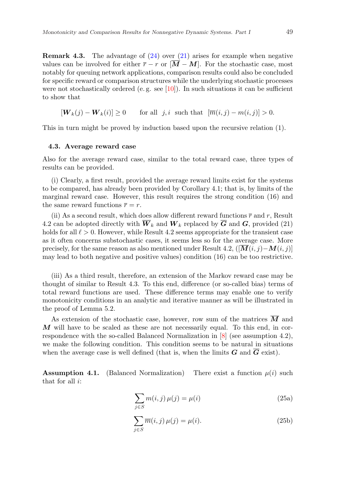**Remark 4.3.** The advantage of  $(24)$  over  $(21)$  arises for example when negative values can be involved for either  $\bar{r} - r$  or  $[\overline{M} - M]$ . For the stochastic case, most notably for queuing network applications, comparison results could also be concluded for specific reward or comparison structures while the underlying stochastic processes were not stochastically ordered (e.g. see  $[10]$ ). In such situations it can be sufficient to show that

$$
[\boldsymbol{W}_k(j) - \boldsymbol{W}_k(i)] \ge 0 \qquad \text{for all } j, i \text{ such that } [\overline{m}(i,j) - m(i,j)] > 0.
$$

This in turn might be proved by induction based upon the recursive relation (1).

#### 4.3. Average reward case

Also for the average reward case, similar to the total reward case, three types of results can be provided.

(i) Clearly, a first result, provided the average reward limits exist for the systems to be compared, has already been provided by Corollary 4.1; that is, by limits of the marginal reward case. However, this result requires the strong condition (16) and the same reward functions  $\bar{r} = r$ .

(ii) As a second result, which does allow different reward functions  $\bar{r}$  and r, Result 4.2 can be adopted directly with  $\overline{W}_k$  and  $W_k$  replaced by  $\overline{G}$  and  $G$ , provided (21) holds for all  $\ell > 0$ . However, while Result 4.2 seems appropriate for the transient case as it often concerns substochastic cases, it seems less so for the average case. More precisely, for the same reason as also mentioned under Result 4.2,  $([\overline{\mathbf{M}}(i,j)-\mathbf{M}(i,j)]$ may lead to both negative and positive values) condition (16) can be too restrictive.

(iii) As a third result, therefore, an extension of the Markov reward case may be thought of similar to Result 4.3. To this end, difference (or so-called bias) terms of total reward functions are used. These difference terms may enable one to verify monotonicity conditions in an analytic and iterative manner as will be illustrated in the proof of Lemma 5.2.

As extension of the stochastic case, however, row sum of the matrices  $\boldsymbol{M}$  and  $M$  will have to be scaled as these are not necessarily equal. To this end, in correspondence with the so-called Balanced Normalization in [8] (see assumption 4.2), we make the following condition. This condition seems to be natural in situations when the average case is well defined (that is, when the limits  $G$  and  $G$  exist).

**Assumption 4.1.** (Balanced Normalization) There exist a function  $\mu(i)$  such that for all  $i$ :

$$
\sum_{j \in S} m(i, j) \,\mu(j) = \mu(i) \tag{25a}
$$

$$
\sum_{j \in S} \overline{m}(i, j) \,\mu(j) = \mu(i). \tag{25b}
$$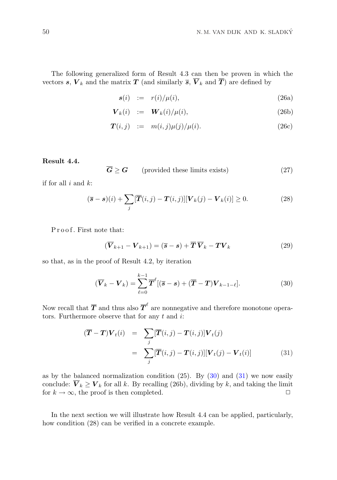The following generalized form of Result 4.3 can then be proven in which the vectors s,  $V_k$  and the matrix T (and similarly  $\overline{s}$ ,  $\overline{V}_k$  and  $\overline{T}$ ) are defined by

$$
s(i) := r(i)/\mu(i), \qquad (26a)
$$

$$
\boldsymbol{V}_k(i) \quad := \quad \boldsymbol{W}_k(i) / \mu(i), \tag{26b}
$$

$$
\boldsymbol{T}(i,j) \quad := \quad m(i,j)\mu(j)/\mu(i). \tag{26c}
$$

## Result 4.4.

$$
\overline{G} \ge G \qquad \text{(provided these limits exists)} \tag{27}
$$

if for all  $i$  and  $k$ :

$$
(\overline{\mathbf{s}} - \mathbf{s})(i) + \sum_{j} [\overline{\boldsymbol{T}}(i,j) - \boldsymbol{T}(i,j)][\boldsymbol{V}_k(j) - \boldsymbol{V}_k(i)] \ge 0.
$$
 (28)

Proof. First note that:

$$
(\overline{\mathbf{V}}_{k+1} - \mathbf{V}_{k+1}) = (\overline{\mathbf{s}} - \mathbf{s}) + \overline{\mathbf{T}} \,\overline{\mathbf{V}}_k - \mathbf{T} \mathbf{V}_k \tag{29}
$$

so that, as in the proof of Result 4.2, by iteration

$$
(\overline{\boldsymbol{V}}_k - \boldsymbol{V}_k) = \sum_{\ell=0}^{k-1} \overline{\boldsymbol{T}}^{\ell} [(\overline{\boldsymbol{s}} - \boldsymbol{s}) + (\overline{\boldsymbol{T}} - \boldsymbol{T}) \boldsymbol{V}_{k-1-\ell}]. \tag{30}
$$

Now recall that  $\overline{T}$  and thus also  $\overline{T}^{\ell}$  are nonnegative and therefore monotone operators. Furthermore observe that for any  $t$  and  $i$ :

$$
(\overline{T} - T)V_t(i) = \sum_j [\overline{T}(i,j) - T(i,j)]V_t(j)
$$
  

$$
= \sum_j [\overline{T}(i,j) - T(i,j)][V_t(j) - V_t(i)] \qquad (31)
$$

as by the balanced normalization condition  $(25)$ . By  $(30)$  and  $(31)$  we now easily conclude:  $\overline{V}_k \ge V_k$  for all k. By recalling (26b), dividing by k, and taking the limit for  $k \to \infty$ , the proof is then completed. for  $k \to \infty$ , the proof is then completed.

In the next section we will illustrate how Result 4.4 can be applied, particularly, how condition (28) can be verified in a concrete example.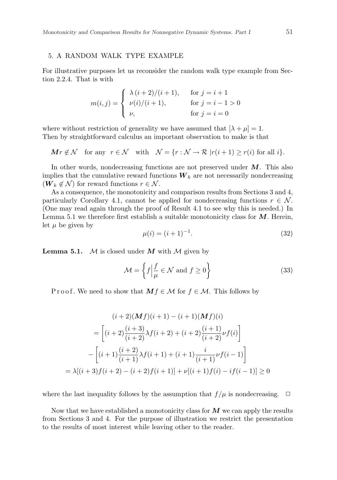#### 5. A RANDOM WALK TYPE EXAMPLE

For illustrative purposes let us reconsider the random walk type example from Section 2.2.4. That is with

$$
m(i,j) = \begin{cases} \lambda (i+2)/(i+1), & \text{for } j = i+1 \\ \nu(i)/(i+1), & \text{for } j = i-1 > 0 \\ \nu, & \text{for } j = i = 0 \end{cases}
$$

where without restriction of generality we have assumed that  $[\lambda + \mu] = 1$ . Then by straightforward calculus an important observation to make is that

$$
\mathbf{M}r \notin \mathcal{N} \quad \text{for any} \quad r \in \mathcal{N} \quad \text{with} \quad \mathcal{N} = \{r : \mathcal{N} \to \mathcal{R} \mid r(i+1) \ge r(i) \text{ for all } i\}.
$$

In other words, nondecreasing functions are not preserved under  $M$ . This also implies that the cumulative reward functions  $W_k$  are not necessarily nondecreasing  $(W_k \notin \mathcal{N})$  for reward functions  $r \in \mathcal{N}$ .

As a consequence, the monotonicity and comparison results from Sections 3 and 4, particularly Corollary 4.1, cannot be applied for nondecreasing functions  $r \in \mathcal{N}$ . (One may read again through the proof of Result 4.1 to see why this is needed.) In Lemma 5.1 we therefore first establish a suitable monotonicity class for  $M$ . Herein, let  $\mu$  be given by

$$
\mu(i) = (i+1)^{-1}.\tag{32}
$$

**Lemma 5.1.**  $M$  is closed under M with M given by

$$
\mathcal{M} = \left\{ f \Big| \frac{f}{\mu} \in \mathcal{N} \text{ and } f \ge 0 \right\} \tag{33}
$$

Proof. We need to show that  $Mf \in \mathcal{M}$  for  $f \in \mathcal{M}$ . This follows by

$$
(i+2)(\mathbf{M}f)(i+1) - (i+1)(\mathbf{M}f)(i)
$$
  
= 
$$
\left[ (i+2)\frac{(i+3)}{(i+2)}\lambda f(i+2) + (i+2)\frac{(i+1)}{(i+2)}\nu f(i) \right]
$$
  

$$
-\left[ (i+1)\frac{(i+2)}{(i+1)}\lambda f(i+1) + (i+1)\frac{i}{(i+1)}\nu f(i-1) \right]
$$
  
= 
$$
\lambda[(i+3)f(i+2) - (i+2)f(i+1)] + \nu[(i+1)f(i) - if(i-1)] \ge 0
$$

where the last inequality follows by the assumption that  $f/\mu$  is nondecreasing.  $\Box$ 

Now that we have established a monotonicity class for  $\boldsymbol{M}$  we can apply the results from Sections 3 and 4. For the purpose of illustration we restrict the presentation to the results of most interest while leaving other to the reader.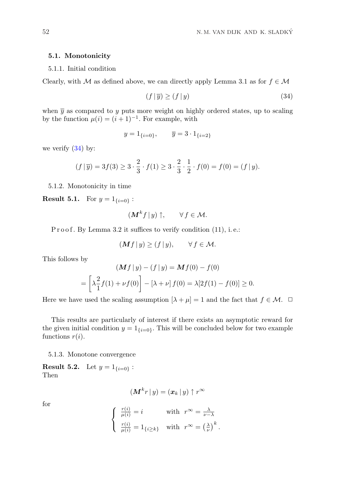## 5.1. Monotonicity

## 5.1.1. Initial condition

Clearly, with M as defined above, we can directly apply Lemma 3.1 as for  $f \in \mathcal{M}$ 

$$
(f \mid \overline{y}) \ge (f \mid y) \tag{34}
$$

when  $\bar{y}$  as compared to y puts more weight on highly ordered states, up to scaling by the function  $\mu(i) = (i+1)^{-1}$ . For example, with

$$
y = 1_{\{i=0\}}, \qquad \overline{y} = 3 \cdot 1_{\{i=2\}}
$$

we verify  $(34)$  by:

$$
(f | \overline{y}) = 3f(3) \ge 3 \cdot \frac{2}{3} \cdot f(1) \ge 3 \cdot \frac{2}{3} \cdot \frac{1}{2} \cdot f(0) = f(0) = (f | y).
$$

5.1.2. Monotonicity in time

**Result 5.1.** For  $y = 1_{\{i=0\}}$ :

$$
(\mathbf{M}^k f \,|\, y) \uparrow, \qquad \forall \, f \in \mathcal{M}.
$$

P r o o f. By Lemma 3.2 it suffices to verify condition (11), i.e.:

$$
(\mathbf{M}f \,|\, y) \ge (f \,|\, y), \qquad \forall \, f \in \mathcal{M}.
$$

This follows by

$$
\begin{aligned} \left(\mathbf{M}f\,|\,y\right) - \left(f\,|\,y\right) &= \mathbf{M}f(0) - f(0) \\ &= \left[\lambda\frac{2}{1}f(1) + \nu f(0)\right] - \left[\lambda + \nu\right]f(0) = \lambda[2f(1) - f(0)] \ge 0. \end{aligned}
$$

Here we have used the scaling assumption  $[\lambda + \mu] = 1$  and the fact that  $f \in \mathcal{M}$ .  $\Box$ 

This results are particularly of interest if there exists an asymptotic reward for the given initial condition  $y = 1_{\{i=0\}}$ . This will be concluded below for two example functions  $r(i)$ .

5.1.3. Monotone convergence

**Result 5.2.** Let  $y = 1_{\{i=0\}}$ : Then

$$
(\boldsymbol{M}^k r \, | \, y) = (\boldsymbol{x}_k \, | \, y) \uparrow r^\infty
$$

for

$$
\left\{ \begin{array}{ll} \frac{r(i)}{\mu(i)}=i & \text{with} \ \ r^{\infty}=\frac{\lambda}{\nu-\lambda} \\ \frac{r(i)}{\mu(i)}=1_{\{i\geq k\}} & \text{with} \ \ r^{\infty}=\left(\frac{\lambda}{\nu}\right)^k. \end{array} \right.
$$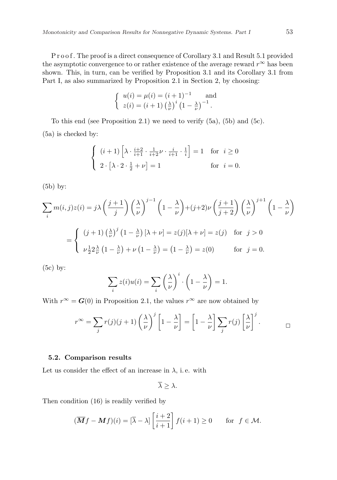P r o o f. The proof is a direct consequence of Corollary 3.1 and Result 5.1 provided the asymptotic convergence to or rather existence of the average reward  $r^{\infty}$  has been shown. This, in turn, can be verified by Proposition 3.1 and its Corollary 3.1 from Part I, as also summarized by Proposition 2.1 in Section 2, by choosing:

$$
\begin{cases} u(i) = \mu(i) = (i+1)^{-1} \text{ and} \\ z(i) = (i+1) \left(\frac{\lambda}{\nu}\right)^i \left(1 - \frac{\lambda}{\nu}\right)^{-1} .\end{cases}
$$

To this end (see Proposition 2.1) we need to verify (5a), (5b) and (5c). (5a) is checked by:

$$
\begin{cases} (i+1)\left[\lambda \cdot \frac{i+2}{i+1} \cdot \frac{1}{i+2} \nu \cdot \frac{i}{i+1} \cdot \frac{1}{i}\right] = 1 & \text{for } i \ge 0\\ 2 \cdot \left[\lambda \cdot 2 \cdot \frac{1}{2} + \nu\right] = 1 & \text{for } i = 0. \end{cases}
$$

(5b) by:

$$
\sum_{i} m(i,j)z(i) = j\lambda \left(\frac{j+1}{j}\right) \left(\frac{\lambda}{\nu}\right)^{j-1} \left(1 - \frac{\lambda}{\nu}\right) + (j+2)\nu \left(\frac{j+1}{j+2}\right) \left(\frac{\lambda}{\nu}\right)^{j+1} \left(1 - \frac{\lambda}{\nu}\right)
$$

$$
= \begin{cases} (j+1)\left(\frac{\lambda}{\nu}\right)^{j} \left(1 - \frac{\lambda}{\nu}\right)[\lambda + \nu] = z(j)[\lambda + \nu] = z(j) & \text{for } j > 0\\ \nu\frac{1}{2}2\frac{\lambda}{\nu}\left(1 - \frac{\lambda}{\nu}\right) + \nu\left(1 - \frac{\lambda}{\nu}\right) = \left(1 - \frac{\lambda}{\nu}\right) = z(0) & \text{for } j = 0. \end{cases}
$$

(5c) by:

$$
\sum_{i} z(i)u(i) = \sum_{i} \left(\frac{\lambda}{\nu}\right)^{i} \cdot \left(1 - \frac{\lambda}{\nu}\right) = 1.
$$

With  $r^{\infty} = G(0)$  in Proposition 2.1, the values  $r^{\infty}$  are now obtained by

$$
r^{\infty} = \sum_{j} r(j)(j+1) \left(\frac{\lambda}{\nu}\right)^{j} \left[1 - \frac{\lambda}{\nu}\right] = \left[1 - \frac{\lambda}{\nu}\right] \sum_{j} r(j) \left[\frac{\lambda}{\nu}\right]^{j}.
$$

#### 5.2. Comparison results

Let us consider the effect of an increase in  $\lambda$ , i.e. with

 $\overline{\lambda} > \lambda$ .

Then condition (16) is readily verified by

$$
(\overline{M}f - Mf)(i) = [\overline{\lambda} - \lambda] \left[ \frac{i+2}{i+1} \right] f(i+1) \ge 0 \quad \text{for } f \in \mathcal{M}.
$$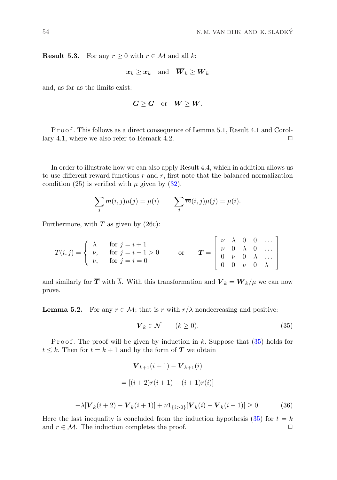**Result 5.3.** For any  $r \geq 0$  with  $r \in \mathcal{M}$  and all k:

$$
\overline{x}_k \geq x_k
$$
 and  $\overline{W}_k \geq W_k$ 

and, as far as the limits exist:

$$
\overline{G}\geq G\quad\text{or}\quad \overline{W}\geq W.
$$

P r o o f. This follows as a direct consequence of Lemma 5.1, Result 4.1 and Corollary 4.1, where we also refer to Remark 4.2.  $\Box$ 

In order to illustrate how we can also apply Result 4.4, which in addition allows us to use different reward functions  $\bar{r}$  and r, first note that the balanced normalization condition (25) is verified with  $\mu$  given by (32).

$$
\sum_j m(i,j)\mu(j) = \mu(i) \qquad \sum_j \overline{m}(i,j)\mu(j) = \mu(i).
$$

Furthermore, with  $T$  as given by  $(26c)$ :

$$
T(i,j) = \begin{cases} \lambda & \text{for } j = i+1 \\ \nu, & \text{for } j = i-1 > 0 \\ \nu, & \text{for } j = i = 0 \end{cases} \quad \text{or} \quad \mathbf{T} = \begin{bmatrix} \nu & \lambda & 0 & 0 & \dots \\ \nu & 0 & \lambda & 0 & \dots \\ 0 & \nu & 0 & \lambda & \dots \\ 0 & 0 & \nu & 0 & \lambda \end{bmatrix}
$$

and similarly for  $\overline{T}$  with  $\overline{\lambda}$ . With this transformation and  $V_k = W_k/\mu$  we can now prove.

**Lemma 5.2.** For any  $r \in \mathcal{M}$ ; that is r with  $r/\lambda$  nondecreasing and positive:

$$
\boldsymbol{V}_k \in \mathcal{N} \qquad (k \ge 0). \tag{35}
$$

P r o o f. The proof will be given by induction in k. Suppose that  $(35)$  holds for  $t \leq k$ . Then for  $t = k + 1$  and by the form of **T** we obtain

$$
\mathbf{V}_{k+1}(i+1) - \mathbf{V}_{k+1}(i)
$$
  
=  $[(i+2)r(i+1) - (i+1)r(i)]$   
+  $\lambda[\mathbf{V}_k(i+2) - \mathbf{V}_k(i+1)] + \nu 1_{\{i>0\}}[\mathbf{V}_k(i) - \mathbf{V}_k(i-1)] \ge 0.$  (36)

Here the last inequality is concluded from the induction hypothesis (35) for  $t = k$ and  $r \in \mathcal{M}$ . The induction completes the proof.  $\Box$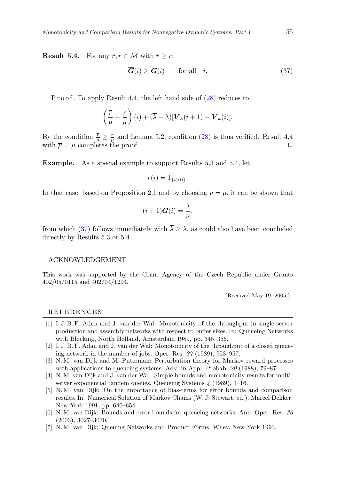**Result 5.4.** For any  $\overline{r}$ ,  $r \in \mathcal{M}$  with  $\overline{r} \geq r$ :

$$
\overline{G}(i) \ge G(i) \qquad \text{for all} \quad i. \tag{37}
$$

P r o o f. To apply Result 4.4, the left hand side of  $(28)$  reduces to

$$
\left(\frac{\overline{r}}{\mu} - \frac{r}{\mu}\right)(i) + (\overline{\lambda} - \lambda)[\boldsymbol{V}_k(i+1) - \boldsymbol{V}_k(i)].
$$

By the condition  $\frac{\bar{r}}{\mu} \geq \frac{r}{\mu}$  and Lemma 5.2, condition (28) is thus verified. Result 4.4 with  $\overline{u} = \mu$  completes the proof.

Example. As a special example to support Results 5.3 and 5.4, let

$$
r(i) = 1_{\{i>0\}}.
$$

In that case, based on Proposition 2.1 and by choosing  $u = \mu$ , it can be shown that

$$
(i+1)\boldsymbol{G}(i) = \frac{\lambda}{\nu},
$$

from which (37) follows immediately with  $\overline{\lambda} \geq \lambda$ , as could also have been concluded directly by Results 5.3 or 5.4.

#### ACKNOWLEDGEMENT

This work was supported by the Grant Agency of the Czech Republic under Grants 402/05/0115 and 402/04/1294.

(Received May 19, 2005.)

#### R E F E R E N C E S

- [1] I. J. B. F. Adan and J. van der Wal: Monotonicity of the throughput in single server production and assembly networks with respect to buffer sizes. In: Queueing Networks with Blocking, North Holland, Amsterdam 1989, pp. 345–356.
- [2] I. J. B. F. Adan and J. van der Wal: Monotonicity of the throughput of a closed queueing network in the number of jobs. Oper. Res. 37 (1989), 953–957.
- [3] N. M. van Dijk and M. Puterman: Perturbation theory for Markov reward processes with applications to queueing systems. Adv. in Appl. Probab. 20 (1988), 79–87.
- [4] N. M. van Dijk and J. van der Wal: Simple bounds and monotonicity results for multiserver exponential tandem queues. Queueing Systems 4 (1989), 1–16.
- [5] N. M. van Dijk: On the importance of bias-terms for error bounds and comparison results. In: Numerical Solution of Markov Chains (W. J. Stewart, ed.), Marcel Dekker, New York 1991, pp. 640–654.
- [6] N. M. van Dijk: Bounds and error bounds for queueing networks. Ann. Oper. Res. 36 (2003), 3027–3030.
- [7] N. M. van Dijk: Queuing Networks and Product Forms. Wiley, New York 1993.